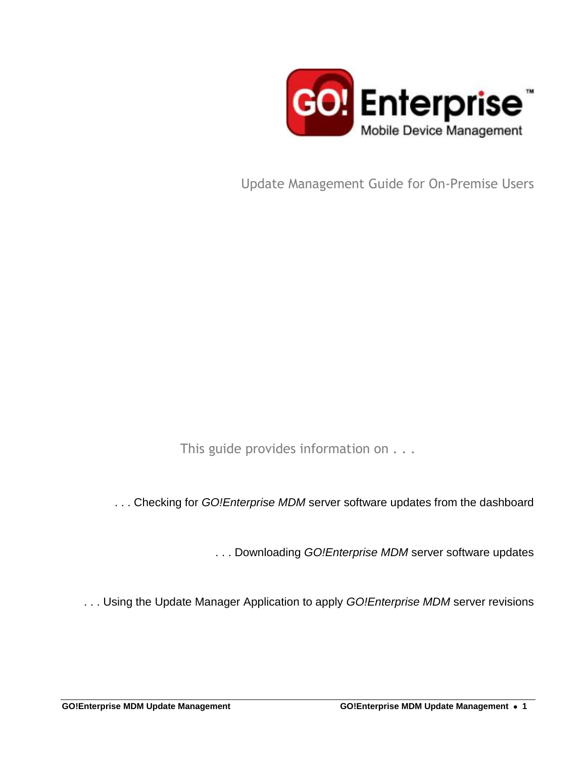

Update Management Guide for On-Premise Users

This guide provides information on . . .

. . . Checking for *GO!Enterprise MDM* server software updates from the dashboard

. . . Downloading *GO!Enterprise MDM* server software updates

. . . Using the Update Manager Application to apply *GO!Enterprise MDM* server revisions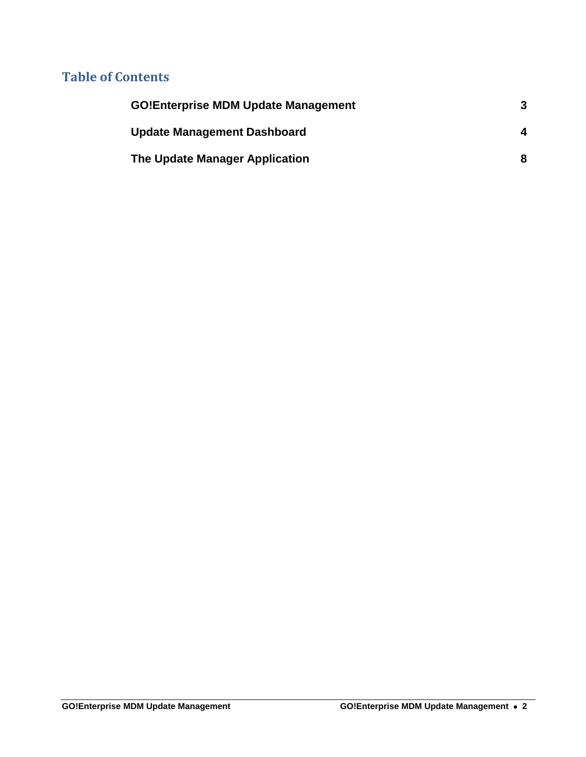## **Table of Contents**

| <b>GO!Enterprise MDM Update Management</b> | 3 |
|--------------------------------------------|---|
| <b>Update Management Dashboard</b>         | Δ |
| The Update Manager Application             | 8 |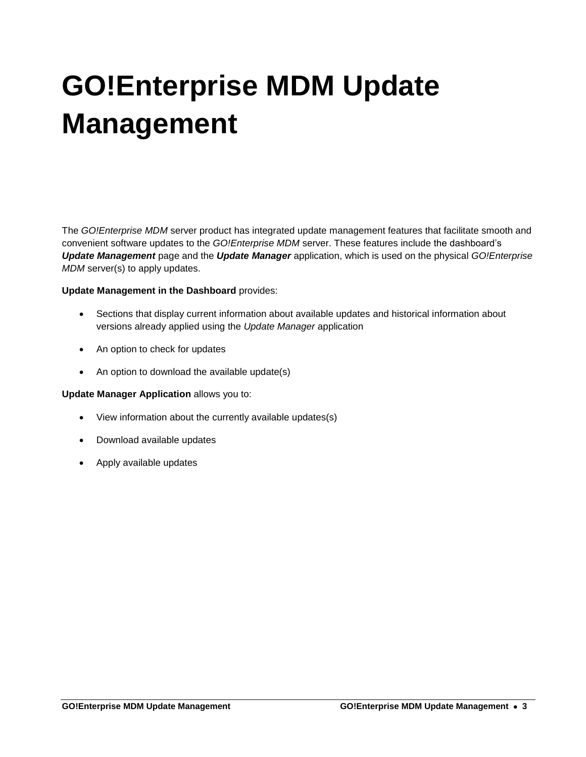# <span id="page-2-0"></span>**GO!Enterprise MDM Update Management**

The *GO!Enterprise MDM* server product has integrated update management features that facilitate smooth and convenient software updates to the *GO!Enterprise MDM* server. These features include the dashboard's *Update Management* page and the *Update Manager* application, which is used on the physical *GO!Enterprise MDM* server(s) to apply updates.

#### **Update Management in the Dashboard** provides:

- Sections that display current information about available updates and historical information about versions already applied using the *Update Manager* application
- An option to check for updates
- An option to download the available update(s)

#### **Update Manager Application** allows you to:

- View information about the currently available updates(s)
- Download available updates
- Apply available updates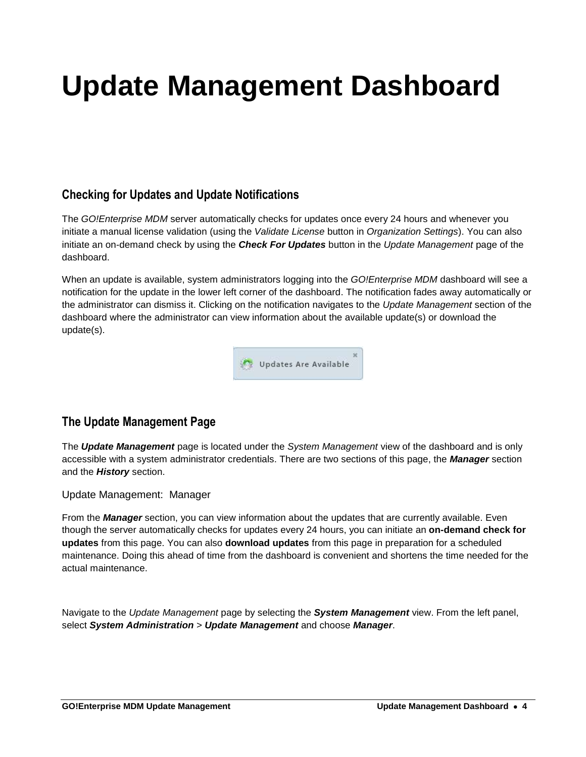## <span id="page-3-0"></span>**Update Management Dashboard**

## **Checking for Updates and Update Notifications**

The *GO!Enterprise MDM* server automatically checks for updates once every 24 hours and whenever you initiate a manual license validation (using the *Validate License* button in *Organization Settings*). You can also initiate an on-demand check by using the *Check For Updates* button in the *Update Management* page of the dashboard.

When an update is available, system administrators logging into the *GO!Enterprise MDM* dashboard will see a notification for the update in the lower left corner of the dashboard. The notification fades away automatically or the administrator can dismiss it. Clicking on the notification navigates to the *Update Management* section of the dashboard where the administrator can view information about the available update(s) or download the update(s).



## **The Update Management Page**

The *Update Management* page is located under the *System Management* view of the dashboard and is only accessible with a system administrator credentials. There are two sections of this page, the *Manager* section and the *History* section.

Update Management: Manager

From the *Manager* section, you can view information about the updates that are currently available. Even though the server automatically checks for updates every 24 hours, you can initiate an **on-demand check for updates** from this page. You can also **download updates** from this page in preparation for a scheduled maintenance. Doing this ahead of time from the dashboard is convenient and shortens the time needed for the actual maintenance.

Navigate to the *Update Management* page by selecting the *System Management* view. From the left panel, select *System Administration* > *Update Management* and choose *Manager*.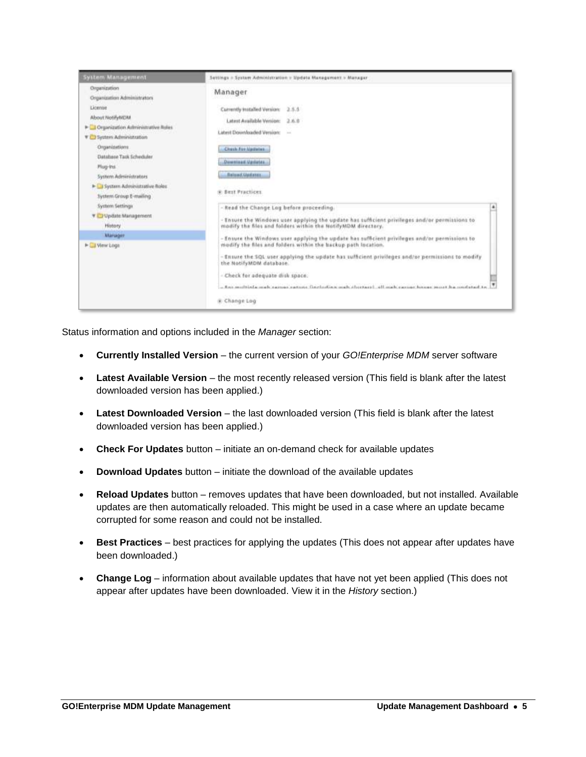

Status information and options included in the *Manager* section:

- **Currently Installed Version** the current version of your *GO!Enterprise MDM* server software
- **Latest Available Version** the most recently released version (This field is blank after the latest downloaded version has been applied.)
- **Latest Downloaded Version** the last downloaded version (This field is blank after the latest downloaded version has been applied.)
- **Check For Updates** button initiate an on-demand check for available updates
- **Download Updates** button initiate the download of the available updates
- **Reload Updates** button removes updates that have been downloaded, but not installed. Available updates are then automatically reloaded. This might be used in a case where an update became corrupted for some reason and could not be installed.
- **Best Practices** best practices for applying the updates (This does not appear after updates have been downloaded.)
- **Change Log** information about available updates that have not yet been applied (This does not appear after updates have been downloaded. View it in the *History* section.)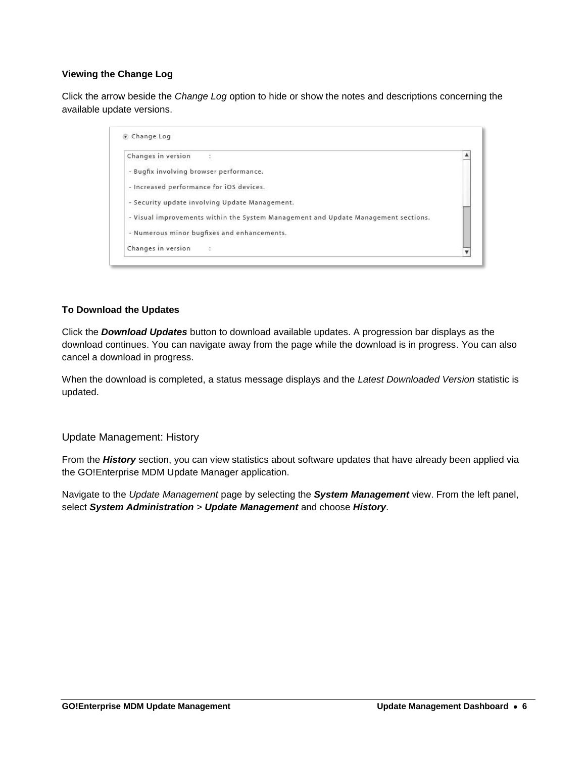#### **Viewing the Change Log**

Click the arrow beside the *Change Log* option to hide or show the notes and descriptions concerning the available update versions.

| Changes in version                                                                 | ٨ |
|------------------------------------------------------------------------------------|---|
| - Bugfix involving browser performance.                                            |   |
| - Increased performance for iOS devices.                                           |   |
| - Security update involving Update Management.                                     |   |
| - Visual improvements within the System Management and Update Management sections. |   |
| - Numerous minor bugfixes and enhancements.                                        |   |
| Changes in version<br>- 12                                                         |   |

#### **To Download the Updates**

Click the *Download Updates* button to download available updates. A progression bar displays as the download continues. You can navigate away from the page while the download is in progress. You can also cancel a download in progress.

When the download is completed, a status message displays and the *Latest Downloaded Version* statistic is updated.

Update Management: History

From the *History* section, you can view statistics about software updates that have already been applied via the GO!Enterprise MDM Update Manager application.

Navigate to the *Update Management* page by selecting the *System Management* view. From the left panel, select *System Administration* > *Update Management* and choose *History*.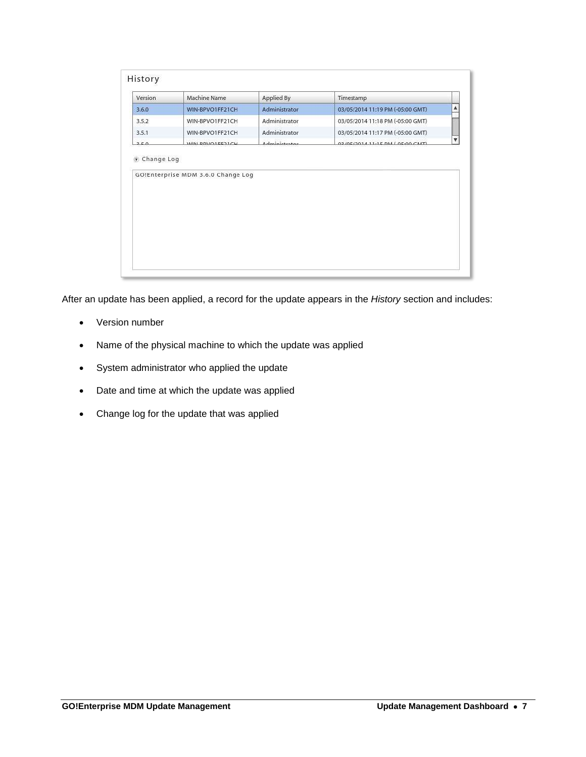| Version | Machine Name                       | Applied By    | Timestamp                         |
|---------|------------------------------------|---------------|-----------------------------------|
| 3,6.0   | WIN-BPVO1FF21CH                    | Administrator | 03/05/2014 11:19 PM (-05:00 GMT)  |
| 3.5.2   | WIN-BPVO1FF21CH                    | Administrator | 03/05/2014 11:18 PM (-05:00 GMT)  |
| 3.5.1   | WIN-BPVO1FF21CH                    | Administrator | 03/05/2014 11:17 PM (-05:00 GMT)  |
| 250     | MINI POVOIEENICU                   | Administrator | 02/05/2014 11:15 DAA/ 05:00 CART) |
|         | GO!Enterprise MDM 3.6.0 Change Log |               |                                   |

After an update has been applied, a record for the update appears in the *History* section and includes:

- Version number
- Name of the physical machine to which the update was applied
- System administrator who applied the update
- Date and time at which the update was applied
- Change log for the update that was applied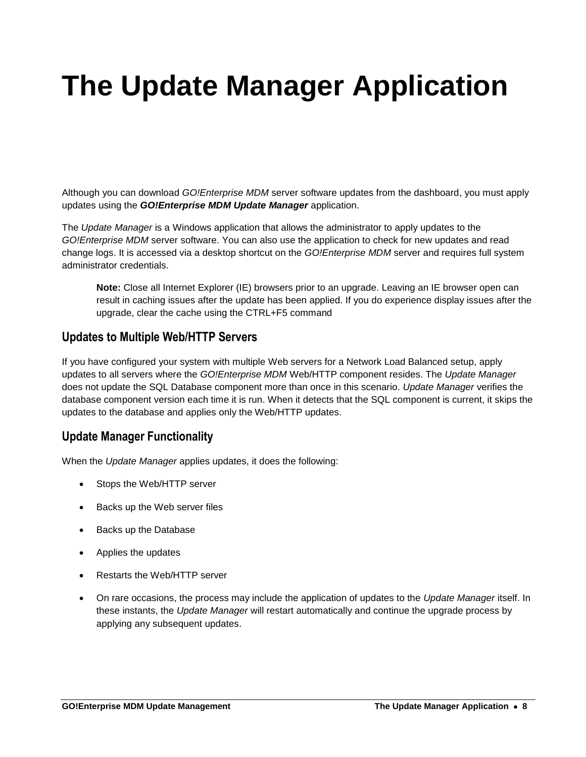# <span id="page-7-0"></span>**The Update Manager Application**

Although you can download *GO!Enterprise MDM* server software updates from the dashboard, you must apply updates using the *GO!Enterprise MDM Update Manager* application.

The *Update Manager* is a Windows application that allows the administrator to apply updates to the *GO!Enterprise MDM* server software. You can also use the application to check for new updates and read change logs. It is accessed via a desktop shortcut on the *GO!Enterprise MDM* server and requires full system administrator credentials.

**Note:** Close all Internet Explorer (IE) browsers prior to an upgrade. Leaving an IE browser open can result in caching issues after the update has been applied. If you do experience display issues after the upgrade, clear the cache using the CTRL+F5 command

### **Updates to Multiple Web/HTTP Servers**

If you have configured your system with multiple Web servers for a Network Load Balanced setup, apply updates to all servers where the *GO!Enterprise MDM* Web/HTTP component resides. The *Update Manager* does not update the SQL Database component more than once in this scenario. *Update Manager* verifies the database component version each time it is run. When it detects that the SQL component is current, it skips the updates to the database and applies only the Web/HTTP updates.

### **Update Manager Functionality**

When the *Update Manager* applies updates, it does the following:

- Stops the Web/HTTP server
- Backs up the Web server files
- Backs up the Database
- Applies the updates
- Restarts the Web/HTTP server
- On rare occasions, the process may include the application of updates to the *Update Manager* itself. In these instants, the *Update Manager* will restart automatically and continue the upgrade process by applying any subsequent updates.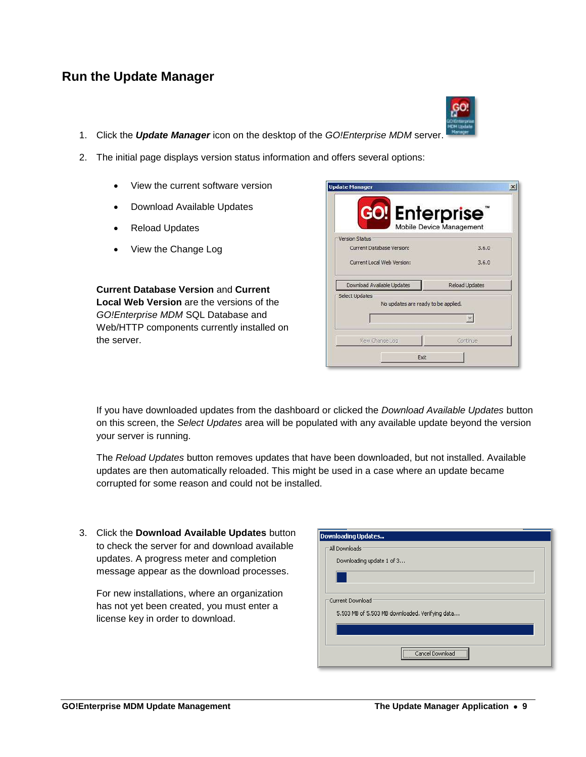#### **GO!Enterprise MDM Update Management The Update Manager Application 9**

## 1. Click the *Update Manager* icon on the desktop of the *GO!Enterprise MDM* server.

- 2. The initial page displays version status information and offers several options:
	- View the current software version
	- Download Available Updates
	- Reload Updates

**Run the Update Manager**

View the Change Log

**Current Database Version** and **Current Local Web Version** are the versions of the *GO!Enterprise MDM* SQL Database and Web/HTTP components currently installed on the server.

If you have downloaded updates from the dashboard or clicked the *Download Available Updates* button on this screen, the *Select Updates* area will be populated with any available update beyond the version your server is running.

**Update Manager** 

The *Reload Updates* button removes updates that have been downloaded, but not installed. Available updates are then automatically reloaded. This might be used in a case where an update became corrupted for some reason and could not be installed.

3. Click the **Download Available Updates** button to check the server for and download available updates. A progress meter and completion message appear as the download processes.

For new installations, where an organization has not yet been created, you must enter a license key in order to download.

| Version Status                                        |                       |
|-------------------------------------------------------|-----------------------|
| Current Database Version:                             | 3.6.0                 |
| Current Local Web Version:                            | 3,6.0                 |
| Download Available Updates                            | <b>Reload Updates</b> |
| Select Updates<br>No updates are ready to be applied. |                       |
|                                                       |                       |

| <b>Downloading Updates</b>                      |
|-------------------------------------------------|
| - All Downloads                                 |
| Downloading update 1 of 3                       |
|                                                 |
|                                                 |
| -Current Download                               |
| 5.503 MB of 5.503 MB downloaded. Verifying data |
|                                                 |
|                                                 |
| Cancel Download                                 |



 $\vert x \vert$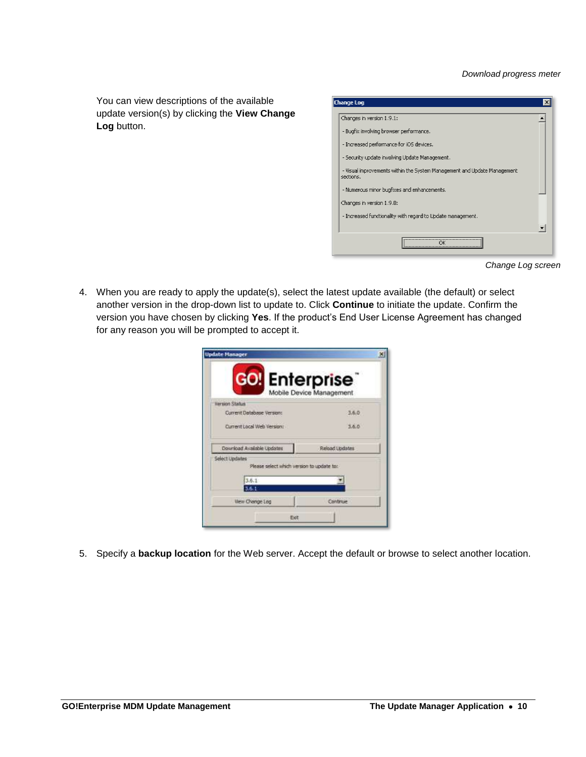You can view descriptions of the available update version(s) by clicking the **View Change Log** button.

| Change Log                                                                            |  |
|---------------------------------------------------------------------------------------|--|
| Changes in version 1.9.1:                                                             |  |
| - Bugfix involving browser performance.                                               |  |
| - Increased performance for iOS devices.                                              |  |
| - Security update involving Update Management.                                        |  |
| - Visual improvements within the System Management and Update Management<br>sertions. |  |
| - Numerous minor bugfixes and enhancements.                                           |  |
| Changes in version 1.9.0:                                                             |  |
| - Increased functionality with regard to Update management.                           |  |
|                                                                                       |  |
| OK                                                                                    |  |

*Change Log screen*

4. When you are ready to apply the update(s), select the latest update available (the default) or select another version in the drop-down list to update to. Click **Continue** to initiate the update. Confirm the version you have chosen by clicking **Yes**. If the product's End User License Agreement has changed for any reason you will be prompted to accept it.

| <b>GO!</b> Enterprise                                       |                          |  |
|-------------------------------------------------------------|--------------------------|--|
| Version Status                                              | Mobile Device Management |  |
| Current Database Version:                                   | 3.6.0                    |  |
| Current Local Web Verson:                                   | 3.6.6                    |  |
| Download Available Updates                                  | Reload Lipdates          |  |
| Select Updates<br>Please select which version to update to: |                          |  |
| 3.6.1                                                       |                          |  |
| 3.6.1                                                       |                          |  |

5. Specify a **backup location** for the Web server. Accept the default or browse to select another location.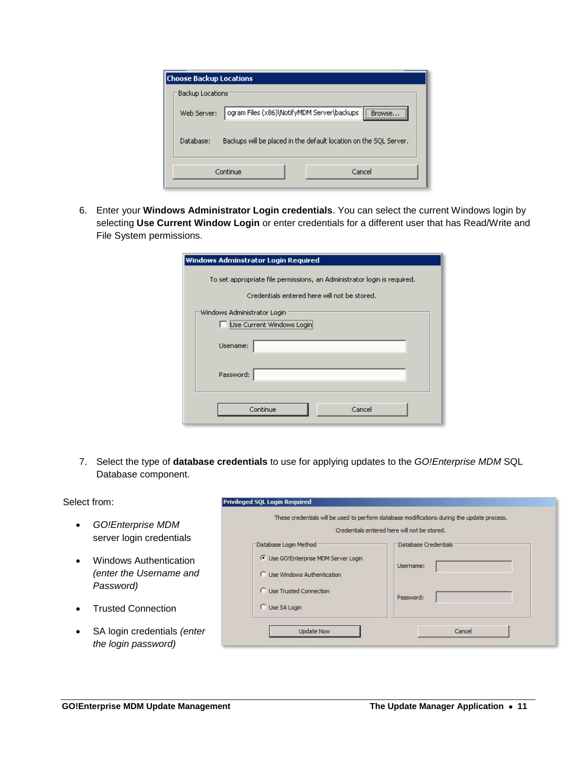| <b>Choose Backup Locations</b> |                                                                   |        |                                        |
|--------------------------------|-------------------------------------------------------------------|--------|----------------------------------------|
| Backup Locations               |                                                                   |        |                                        |
| Web Server:                    | ogram Files (x86)\NotifyMDM Server\backups                        |        | ,,,,,,,,,,,,,,,,,,,,,,,,,,,,<br>Rrowse |
| Database:                      | Backups will be placed in the default location on the SQL Server. |        |                                        |
|                                | Continue                                                          | Cancel |                                        |

6. Enter your **Windows Administrator Login credentials**. You can select the current Windows login by selecting **Use Current Window Login** or enter credentials for a different user that has Read/Write and File System permissions.

| Windows Adminstrator Login Required                                      |
|--------------------------------------------------------------------------|
| To set appropriate file permissions, an Administrator login is required. |
| Credentials entered here will not be stored.                             |
| Windows Administrator Login                                              |
| Use Current Windows Logini                                               |
| Usename:                                                                 |
| Password:                                                                |
| Cancel<br>Continue                                                       |

7. Select the type of **database credentials** to use for applying updates to the *GO!Enterprise MDM* SQL Database component.

#### Select from:

- *GO!Enterprise MDM* server login credentials
- Windows Authentication *(enter the Username and Password)*
- Trusted Connection
- SA login credentials *(enter the login password)*

| Database Credentials |
|----------------------|
|                      |
| Username:            |
| Password:            |
|                      |